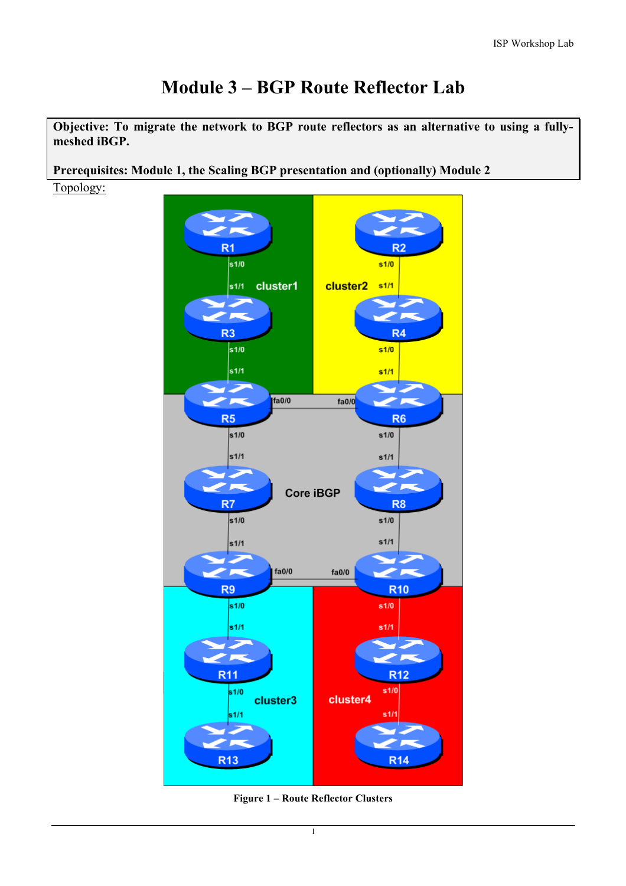# **Module 3 – BGP Route Reflector Lab**

**Objective: To migrate the network to BGP route reflectors as an alternative to using a fullymeshed iBGP.**

**Prerequisites: Module 1, the Scaling BGP presentation and (optionally) Module 2**

Topology:



**Figure 1 – Route Reflector Clusters**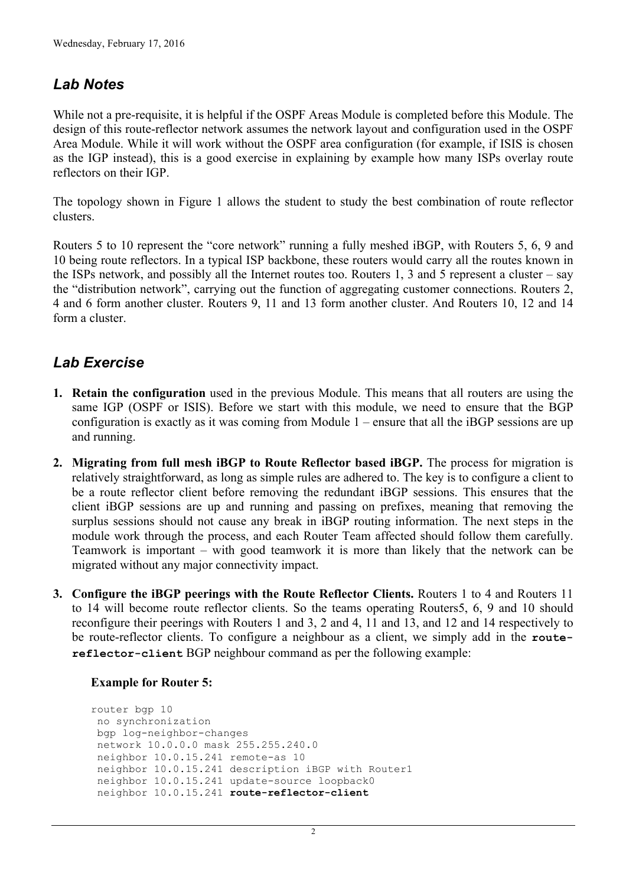## *Lab Notes*

While not a pre-requisite, it is helpful if the OSPF Areas Module is completed before this Module. The design of this route-reflector network assumes the network layout and configuration used in the OSPF Area Module. While it will work without the OSPF area configuration (for example, if ISIS is chosen as the IGP instead), this is a good exercise in explaining by example how many ISPs overlay route reflectors on their IGP.

The topology shown in Figure 1 allows the student to study the best combination of route reflector clusters.

Routers 5 to 10 represent the "core network" running a fully meshed iBGP, with Routers 5, 6, 9 and 10 being route reflectors. In a typical ISP backbone, these routers would carry all the routes known in the ISPs network, and possibly all the Internet routes too. Routers 1, 3 and 5 represent a cluster – say the "distribution network", carrying out the function of aggregating customer connections. Routers 2, 4 and 6 form another cluster. Routers 9, 11 and 13 form another cluster. And Routers 10, 12 and 14 form a cluster.

## *Lab Exercise*

- **1. Retain the configuration** used in the previous Module. This means that all routers are using the same IGP (OSPF or ISIS). Before we start with this module, we need to ensure that the BGP configuration is exactly as it was coming from Module 1 – ensure that all the iBGP sessions are up and running.
- **2. Migrating from full mesh iBGP to Route Reflector based iBGP.** The process for migration is relatively straightforward, as long as simple rules are adhered to. The key is to configure a client to be a route reflector client before removing the redundant iBGP sessions. This ensures that the client iBGP sessions are up and running and passing on prefixes, meaning that removing the surplus sessions should not cause any break in iBGP routing information. The next steps in the module work through the process, and each Router Team affected should follow them carefully. Teamwork is important – with good teamwork it is more than likely that the network can be migrated without any major connectivity impact.
- **3. Configure the iBGP peerings with the Route Reflector Clients.** Routers 1 to 4 and Routers 11 to 14 will become route reflector clients. So the teams operating Routers5, 6, 9 and 10 should reconfigure their peerings with Routers 1 and 3, 2 and 4, 11 and 13, and 12 and 14 respectively to be route-reflector clients. To configure a neighbour as a client, we simply add in the **routereflector-client** BGP neighbour command as per the following example:

### **Example for Router 5:**

```
router bgp 10
 no synchronization
 bgp log-neighbor-changes
 network 10.0.0.0 mask 255.255.240.0
 neighbor 10.0.15.241 remote-as 10
 neighbor 10.0.15.241 description iBGP with Router1
 neighbor 10.0.15.241 update-source loopback0
 neighbor 10.0.15.241 route-reflector-client
```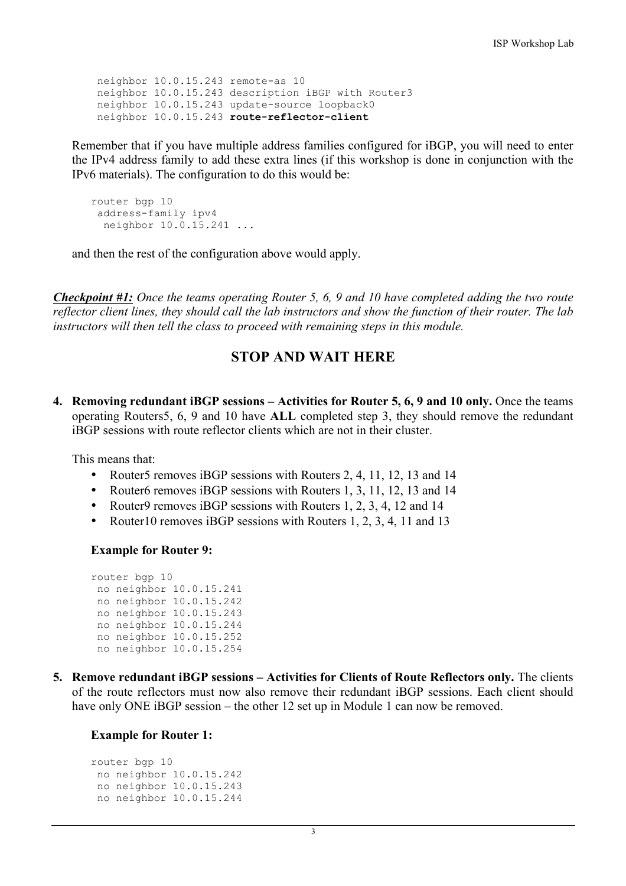neighbor 10.0.15.243 remote-as 10 neighbor 10.0.15.243 description iBGP with Router3 neighbor 10.0.15.243 update-source loopback0 neighbor 10.0.15.243 **route-reflector-client**

Remember that if you have multiple address families configured for iBGP, you will need to enter the IPv4 address family to add these extra lines (if this workshop is done in conjunction with the IPv6 materials). The configuration to do this would be:

```
router bgp 10
 address-family ipv4
   neighbor 10.0.15.241 ...
```
and then the rest of the configuration above would apply.

*Checkpoint #1: Once the teams operating Router 5, 6, 9 and 10 have completed adding the two route reflector client lines, they should call the lab instructors and show the function of their router. The lab instructors will then tell the class to proceed with remaining steps in this module.*

## **STOP AND WAIT HERE**

**4. Removing redundant iBGP sessions – Activities for Router 5, 6, 9 and 10 only.** Once the teams operating Routers5, 6, 9 and 10 have **ALL** completed step 3, they should remove the redundant iBGP sessions with route reflector clients which are not in their cluster.

This means that:

- Router5 removes iBGP sessions with Routers 2, 4, 11, 12, 13 and 14
- Router6 removes iBGP sessions with Routers 1, 3, 11, 12, 13 and 14
- Router9 removes iBGP sessions with Routers 1, 2, 3, 4, 12 and 14
- Router 10 removes iBGP sessions with Routers 1, 2, 3, 4, 11 and 13

#### **Example for Router 9:**

```
router bgp 10
no neighbor 10.0.15.241
 no neighbor 10.0.15.242
 no neighbor 10.0.15.243
 no neighbor 10.0.15.244
 no neighbor 10.0.15.252
 no neighbor 10.0.15.254
```
**5. Remove redundant iBGP sessions – Activities for Clients of Route Reflectors only.** The clients of the route reflectors must now also remove their redundant iBGP sessions. Each client should have only ONE iBGP session – the other 12 set up in Module 1 can now be removed.

### **Example for Router 1:**

```
router bgp 10
 no neighbor 10.0.15.242
 no neighbor 10.0.15.243
 no neighbor 10.0.15.244
```